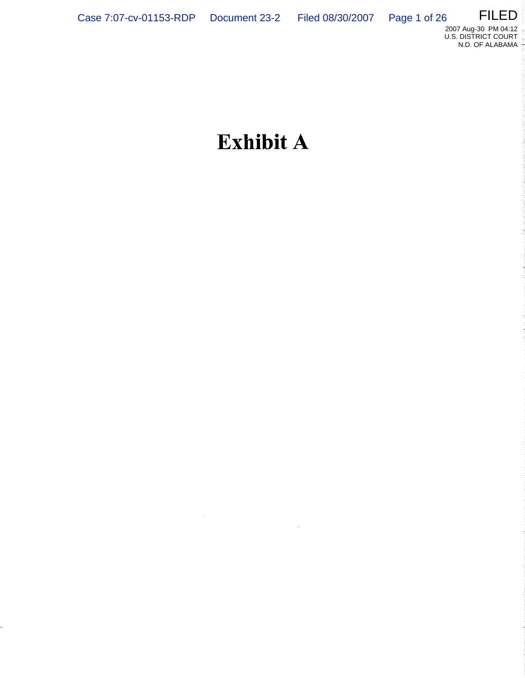L,

 $\hat{\boldsymbol{\epsilon}}$ 



# **Exhibit A**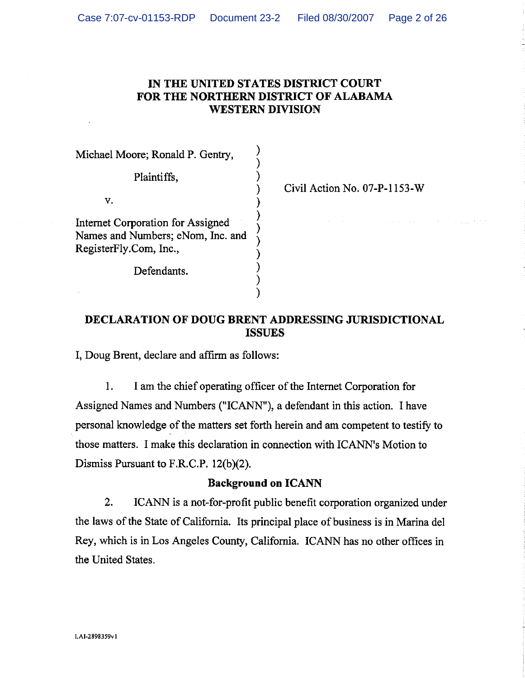## IN THE UNITED STATES DISTRICT COURT FOR THE NORTHERN DISTRICT OF ALABAMA **WESTERN DIVISION**

Michael Moore; Ronald P. Gentry,

Plaintiffs.

V,

Internet Corporation for Assigned Names and Numbers; eNom, Inc. and RegisterFly.Com, Inc.,

Defendants.

Civil Action No. 07-P-1153-W

## **DECLARATION OF DOUG BRENT ADDRESSING JURISDICTIONAL ISSUES**

I, Doug Brent, declare and affirm as follows:

 $1.$ I am the chief operating officer of the Internet Corporation for Assigned Names and Numbers ("ICANN"), a defendant in this action. I have personal knowledge of the matters set forth herein and am competent to testify to those matters. I make this declaration in connection with ICANN's Motion to Dismiss Pursuant to F.R.C.P.  $12(b)(2)$ .

## **Background on ICANN**

ICANN is a not-for-profit public benefit corporation organized under  $2.$ the laws of the State of California. Its principal place of business is in Marina del Rey, which is in Los Angeles County, California. ICANN has no other offices in the United States.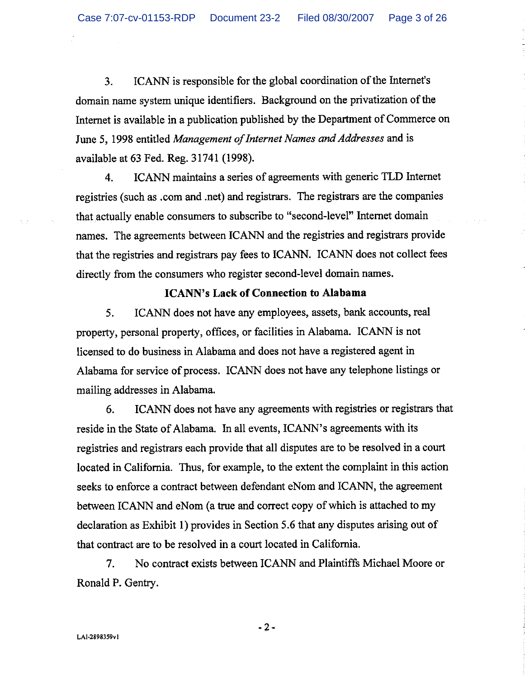ICANN is responsible for the global coordination of the Internet's  $3<sub>1</sub>$ domain name system unique identifiers. Background on the privatization of the Internet is available in a publication published by the Department of Commerce on June 5, 1998 entitled Management of Internet Names and Addresses and is available at 63 Fed. Reg. 31741 (1998).

ICANN maintains a series of agreements with generic TLD Internet 4. registries (such as .com and .net) and registrars. The registrars are the companies that actually enable consumers to subscribe to "second-level" Internet domain names. The agreements between ICANN and the registries and registrars provide that the registries and registrars pay fees to ICANN. ICANN does not collect fees directly from the consumers who register second-level domain names.

## **ICANN's Lack of Connection to Alabama**

5. ICANN does not have any employees, assets, bank accounts, real property, personal property, offices, or facilities in Alabama. ICANN is not licensed to do business in Alabama and does not have a registered agent in Alabama for service of process. ICANN does not have any telephone listings or mailing addresses in Alabama.

6. ICANN does not have any agreements with registries or registrars that reside in the State of Alabama. In all events, ICANN's agreements with its registries and registrars each provide that all disputes are to be resolved in a court located in California. Thus, for example, to the extent the complaint in this action seeks to enforce a contract between defendant eNom and ICANN, the agreement between ICANN and eNom (a true and correct copy of which is attached to my declaration as Exhibit 1) provides in Section 5.6 that any disputes arising out of that contract are to be resolved in a court located in California.

No contract exists between ICANN and Plaintiffs Michael Moore or  $7<sub>1</sub>$ Ronald P. Gentry.

 $-2-$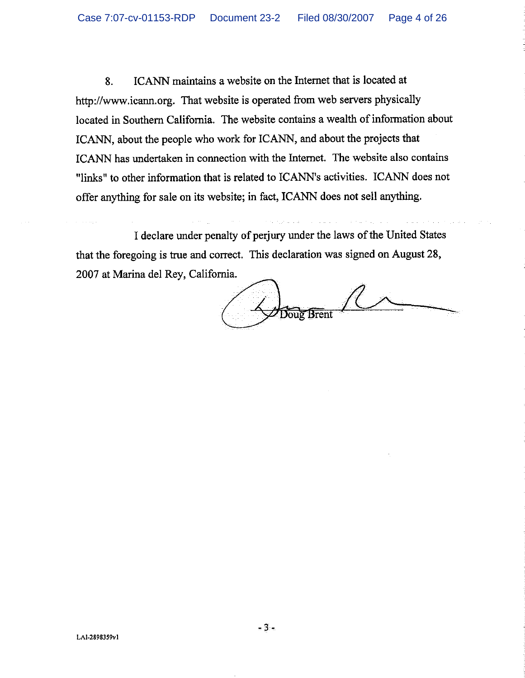ICANN maintains a website on the Internet that is located at 8. http://www.icann.org. That website is operated from web servers physically located in Southern California. The website contains a wealth of information about ICANN, about the people who work for ICANN, and about the projects that ICANN has undertaken in connection with the Internet. The website also contains "links" to other information that is related to ICANN's activities. ICANN does not offer anything for sale on its website; in fact, ICANN does not sell anything.

I declare under penalty of perjury under the laws of the United States that the foregoing is true and correct. This declaration was signed on August 28, 2007 at Marina del Rey, California.

Doug Brent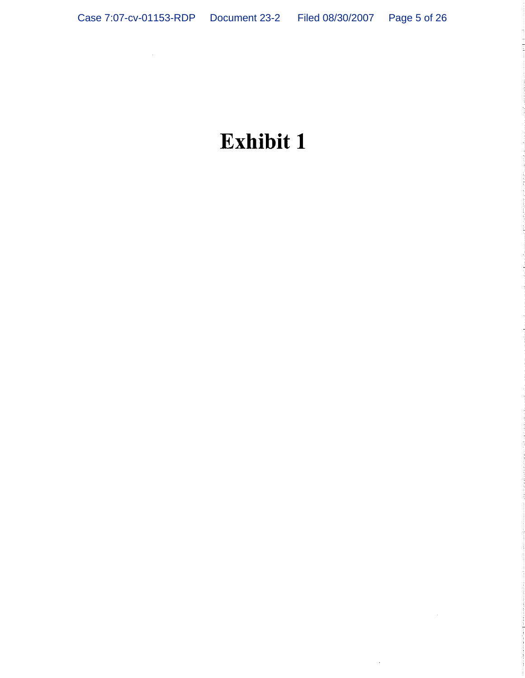# Exhibit 1

 $\sim 10$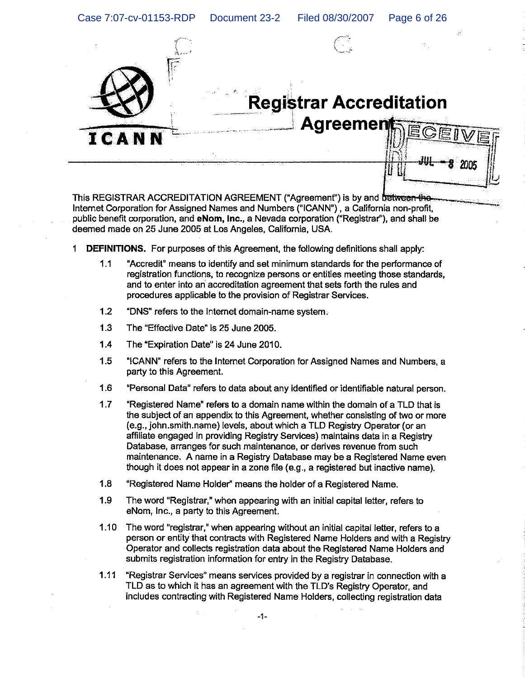

## **Registrar Accreditation Agreemer**

This REGISTRAR ACCREDITATION AGREEMENT ("Agreement") is by and between the Internet Corporation for Assigned Names and Numbers ("ICANN"), a California non-profit, public benefit corporation, and eNom, Inc., a Nevada corporation ("Registrar"), and shall be deemed made on 25 June 2005 at Los Angeles, California, USA.

- 1 **DEFINITIONS.** For purposes of this Agreement, the following definitions shall apply:
	- $1.1$ "Accredit" means to identify and set minimum standards for the performance of registration functions, to recognize persons or entities meeting those standards, and to enter into an accreditation agreement that sets forth the rules and procedures applicable to the provision of Registrar Services.
	- $1.2$ "DNS" refers to the internet domain-name system.
	- $1.3$ The "Effective Date" is 25 June 2005.
	- 1.4 The "Expiration Date" is 24 June 2010.
	- 1.5 "ICANN" refers to the Internet Corporation for Assigned Names and Numbers, a party to this Agreement.
	- $1.6$ "Personal Data" refers to data about any identified or identifiable natural person.
	- $1.7$ "Registered Name" refers to a domain name within the domain of a TLD that is the subject of an appendix to this Agreement, whether consisting of two or more (e.g., iohn.smith.name) levels, about which a TLD Registry Operator (or an affiliate engaged in providing Registry Services) maintains data in a Registry Database, arranges for such maintenance, or derives revenue from such maintenance. A name in a Registry Database may be a Registered Name even though it does not appear in a zone file (e.g., a registered but inactive name).
	- $1.8$ "Registered Name Holder" means the holder of a Registered Name.
	- $1.9$ The word "Registrar," when appearing with an initial capital letter, refers to eNom, Inc., a party to this Agreement.
	- $1.10$ The word "registrar," when appearing without an initial capital letter, refers to a person or entity that contracts with Registered Name Holders and with a Registry Operator and collects registration data about the Registered Name Holders and submits registration information for entry in the Registry Database.
	- $1.11$ "Registrar Services" means services provided by a registrar in connection with a TLD as to which it has an agreement with the TLD's Registry Operator, and includes contracting with Registered Name Holders, collecting registration data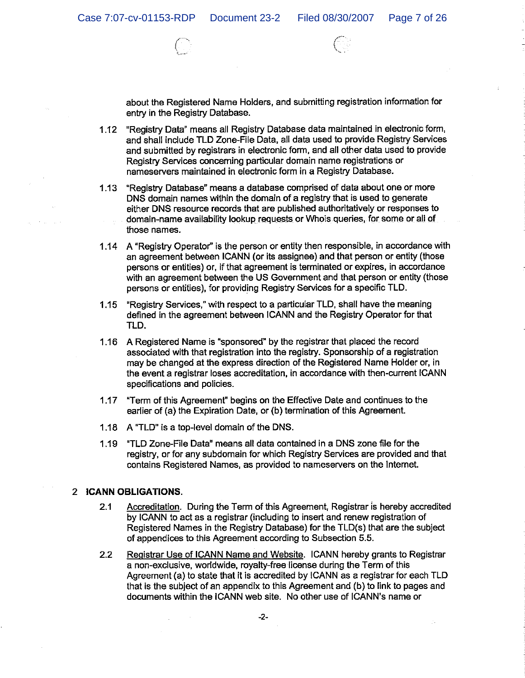about the Registered Name Holders, and submitting registration information for entry in the Registry Database.

- 1.12 "Registry Data" means all Registry Database data maintained in electronic form, and shall include TLD Zone-File Data, all data used to provide Registry Services and submitted by registrars in electronic form, and all other data used to provide Registry Services concerning particular domain name registrations or nameservers maintained in electronic form in a Registry Database.
- 1.13 "Registry Database" means a database comprised of data about one or more DNS domain names within the domain of a registry that is used to generate either DNS resource records that are published authoritatively or responses to domain-name availability lookup requests or Whois queries, for some or all of those names.
- 1.14 A "Registry Operator" is the person or entity then responsible, in accordance with an agreement between ICANN (or its assignee) and that person or entity (those persons or entities) or, if that agreement is terminated or expires, in accordance with an agreement between the US Government and that person or entity (those persons or entities), for providing Registry Services for a specific TLD.
- 1.15 "Registry Services," with respect to a particular TLD, shall have the meaning defined in the agreement between ICANN and the Registry Operator for that TLD.
- 1.16 A Registered Name is "sponsored" by the registrar that placed the record associated with that registration into the registry. Sponsorship of a registration may be changed at the express direction of the Registered Name Holder or, in the event a registrar loses accreditation, in accordance with then-current ICANN specifications and policies.
- "Term of this Agreement" begins on the Effective Date and continues to the  $1.17$ earlier of (a) the Expiration Date, or (b) termination of this Agreement.
- 1.18 A "TLD" is a top-level domain of the DNS.
- 1.19 "TLD Zone-File Data" means all data contained in a DNS zone file for the registry, or for any subdomain for which Registry Services are provided and that contains Registered Names, as provided to nameservers on the Internet.

### 2 ICANN OBLIGATIONS.

- Accreditation. During the Term of this Agreement, Registrar is hereby accredited  $2.1$ by ICANN to act as a registrar (including to insert and renew registration of Registered Names in the Registry Database) for the TLD(s) that are the subject of appendices to this Agreement according to Subsection 5.5.
- Registrar Use of ICANN Name and Website. ICANN hereby grants to Registrar  $2.2$ a non-exclusive, worldwide, royalty-free license during the Term of this Agreement (a) to state that it is accredited by ICANN as a registrar for each TLD that is the subject of an appendix to this Agreement and (b) to link to pages and documents within the ICANN web site. No other use of ICANN's name or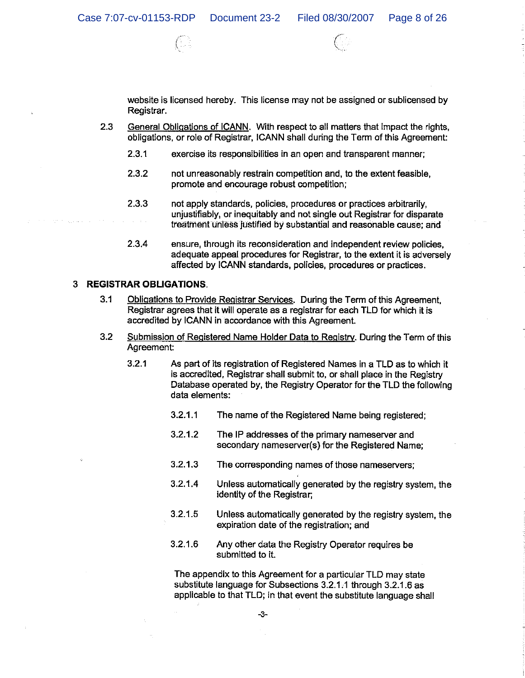

website is licensed hereby. This license may not be assigned or sublicensed by Registrar.

- 2.3 General Obligations of ICANN. With respect to all matters that impact the rights, obligations, or role of Registrar, ICANN shall during the Term of this Agreement:
	- $2.3.1$ exercise its responsibilities in an open and transparent manner;
	- $2.3.2$ not unreasonably restrain competition and, to the extent feasible, promote and encourage robust competition;
	- $2.3.3$ not apply standards, policies, procedures or practices arbitrarily. unjustifiably, or inequitably and not single out Registrar for disparate treatment unless justified by substantial and reasonable cause; and
	- $2.3.4$ ensure, through its reconsideration and independent review policies. adequate appeal procedures for Registrar, to the extent it is adversely affected by ICANN standards, policies, procedures or practices.

## 3 REGISTRAR OBLIGATIONS.

- $3.1$ Obligations to Provide Registrar Services. During the Term of this Agreement, Registrar agrees that it will operate as a registrar for each TLD for which it is accredited by ICANN in accordance with this Agreement.
- $3.2$ Submission of Registered Name Holder Data to Registry. During the Term of this Agreement:
	- $3.2.1$ As part of its registration of Registered Names in a TLD as to which it is accredited, Registrar shall submit to, or shall place in the Registry Database operated by, the Registry Operator for the TLD the following data elements:
		- $3.2.1.1$ The name of the Registered Name being registered:
		- $3.2.1.2$ The IP addresses of the primary nameserver and secondary nameserver(s) for the Registered Name:
		- $3.2.1.3$ The corresponding names of those nameservers;
		- $3.2.1.4$ Unless automatically generated by the registry system, the identity of the Registrar;
		- $3.2.1.5$ Unless automatically generated by the registry system, the expiration date of the registration; and
		- $3.2.1.6$ Any other data the Registry Operator requires be submitted to it.

The appendix to this Agreement for a particular TLD may state substitute language for Subsections 3.2.1.1 through 3.2.1.6 as applicable to that TLD; in that event the substitute language shall

 $-3-$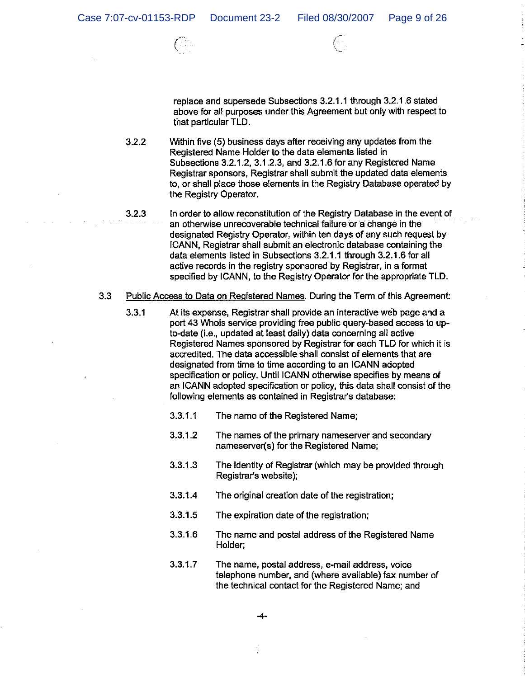

replace and supersede Subsections 3.2.1.1 through 3.2.1.6 stated above for all purposes under this Agreement but only with respect to that particular TLD.

- $3.2.2$ Within five (5) business days after receiving any updates from the Registered Name Holder to the data elements listed in Subsections 3.2.1.2, 3.1.2.3, and 3.2.1.6 for any Registered Name Registrar sponsors, Registrar shall submit the updated data elements to, or shall place those elements in the Registry Database operated by the Registry Operator.
- In order to allow reconstitution of the Registry Database in the event of  $3.2.3$ an otherwise unrecoverable technical failure or a change in the designated Registry Operator, within ten days of any such request by ICANN, Registrar shall submit an electronic database containing the data elements listed in Subsections 3.2.1.1 through 3.2.1.6 for all active records in the registry sponsored by Registrar, in a format specified by ICANN, to the Registry Operator for the appropriate TLD.
- $3.3$ Public Access to Data on Registered Names. During the Term of this Agreement:
	- $3.3.1$ At its expense, Registrar shall provide an interactive web page and a port 43 Whois service providing free public query-based access to upto-date (i.e., updated at least daily) data concerning all active Registered Names sponsored by Registrar for each TLD for which it is accredited. The data accessible shall consist of elements that are designated from time to time according to an ICANN adopted specification or policy. Until ICANN otherwise specifies by means of an ICANN adopted specification or policy, this data shall consist of the following elements as contained in Registrar's database:
		- $3.3.1.1$ The name of the Registered Name:
		- $3.3.1.2$ The names of the primary nameserver and secondary nameserver(s) for the Registered Name;
		- 3.3.1.3 The identity of Registrar (which may be provided through Registrar's website);
		- 3.3.1.4 The original creation date of the registration;
		- $3.3.1.5$ The expiration date of the registration;
		- $3.3.1.6$ The name and postal address of the Registered Name Holder:
		- $3.3.1.7$ The name, postal address, e-mail address, voice telephone number, and (where available) fax number of the technical contact for the Registered Name; and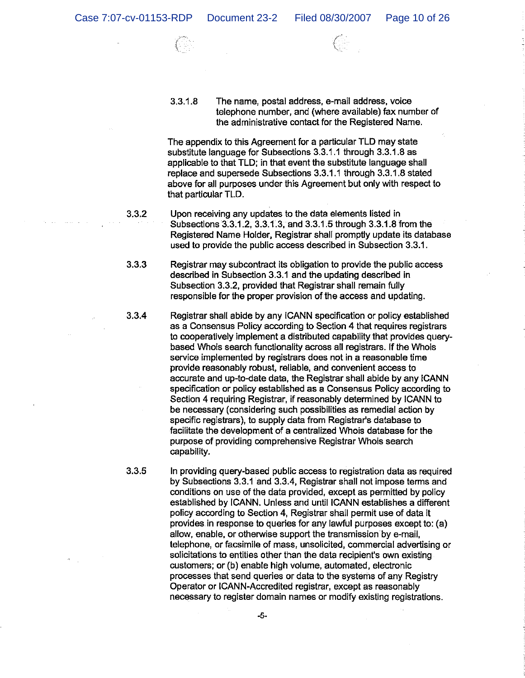$3.3.1.8$ The name, postal address, e-mail address, voice telephone number, and (where available) fax number of the administrative contact for the Registered Name.

The appendix to this Agreement for a particular TLD may state substitute language for Subsections 3.3.1.1 through 3.3.1.8 as applicable to that TLD; in that event the substitute language shall replace and supersede Subsections 3.3.1.1 through 3.3.1.8 stated above for all purposes under this Agreement but only with respect to that particular TLD.

 $3.3.2$ 

Upon receiving any updates to the data elements listed in Subsections 3.3.1.2. 3.3.1.3. and 3.3.1.5 through 3.3.1.8 from the Registered Name Holder, Registrar shall promptly update its database used to provide the public access described in Subsection 3.3.1.

 $3.3.3$ Registrar may subcontract its obligation to provide the public access described in Subsection 3.3.1 and the updating described in Subsection 3.3.2, provided that Registrar shall remain fully responsible for the proper provision of the access and updating.

 $3.3.4$ 

Registrar shall abide by any ICANN specification or policy established as a Consensus Policy according to Section 4 that requires registrars to cooperatively implement a distributed capability that provides querybased Whois search functionality across all registrars. If the Whois service implemented by registrars does not in a reasonable time provide reasonably robust, reliable, and convenient access to accurate and up-to-date data, the Registrar shall abide by any ICANN specification or policy established as a Consensus Policy according to Section 4 requiring Registrar, if reasonably determined by ICANN to be necessary (considering such possibilities as remedial action by specific registrars), to supply data from Registrar's database to facilitate the development of a centralized Whois database for the purpose of providing comprehensive Registrar Whois search capability.

 $3.3.5$ 

In providing query-based public access to registration data as required by Subsections 3.3.1 and 3.3.4. Registrar shall not impose terms and conditions on use of the data provided, except as permitted by policy established by ICANN. Unless and until ICANN establishes a different policy according to Section 4. Registrar shall permit use of data it provides in response to queries for any lawful purposes except to: (a) allow, enable, or otherwise support the transmission by e-mail, telephone, or facsimile of mass, unsolicited, commercial advertising or solicitations to entities other than the data recipient's own existing customers; or (b) enable high volume, automated, electronic processes that send queries or data to the systems of any Registry Operator or ICANN-Accredited registrar, except as reasonably necessary to register domain names or modify existing registrations.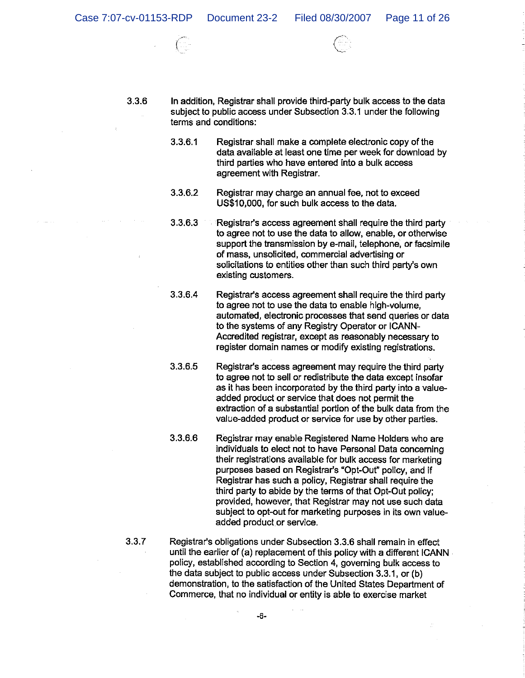



 $3.3.6$ 

In addition, Registrar shall provide third-party bulk access to the data subject to public access under Subsection 3.3.1 under the following terms and conditions:

- 3361 Registrar shall make a complete electronic copy of the data available at least one time per week for download by third parties who have entered into a bulk access agreement with Registrar.
- 3.3.6.2 Registrar may charge an annual fee, not to exceed US\$10,000, for such bulk access to the data.
- $3.3.6.3$ Registrar's access agreement shall require the third party to agree not to use the data to allow, enable, or otherwise support the transmission by e-mail, telephone, or facsimile of mass, unsolicited, commercial advertising or solicitations to entities other than such third party's own existing customers.
- $3.3.6.4$ Registrar's access agreement shall require the third party to agree not to use the data to enable high-volume, automated, electronic processes that send queries or data to the systems of any Registry Operator or ICANN-Accredited registrar, except as reasonably necessary to register domain names or modify existing registrations.
- 3.3.6.5 Registrar's access agreement may require the third party to agree not to sell or redistribute the data except insofar as it has been incorporated by the third party into a valueadded product or service that does not permit the extraction of a substantial portion of the bulk data from the value-added product or service for use by other parties.
- 3.3.6.6 Registrar may enable Registered Name Holders who are individuals to elect not to have Personal Data concerning their registrations available for bulk access for marketing purposes based on Registrar's "Opt-Out" policy, and if Registrar has such a policy, Registrar shall require the third party to abide by the terms of that Opt-Out policy; provided, however, that Registrar may not use such data subject to opt-out for marketing purposes in its own valueadded product or service.
- 337

Registrar's obligations under Subsection 3.3.6 shall remain in effect until the earlier of (a) replacement of this policy with a different ICANN policy, established according to Section 4, governing bulk access to the data subject to public access under Subsection 3.3.1, or (b) demonstration, to the satisfaction of the United States Department of Commerce, that no individual or entity is able to exercise market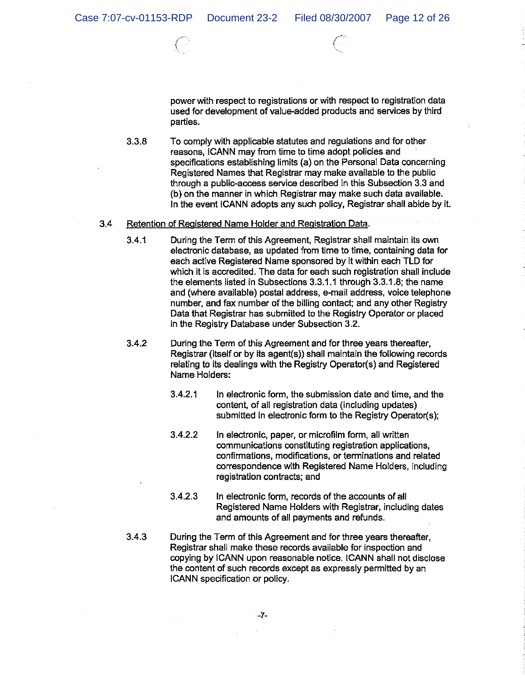power with respect to registrations or with respect to registration data used for development of value-added products and services by third parties.

3.3.8 To comply with applicable statutes and regulations and for other reasons. ICANN may from time to time adopt policies and specifications establishing limits (a) on the Personal Data concerning Registered Names that Registrar may make available to the public through a public-access service described in this Subsection 3.3 and (b) on the manner in which Registrar may make such data available. In the event ICANN adopts any such policy, Registrar shall abide by it.

#### $3.4$ Retention of Registered Name Holder and Registration Data.

- $3.4.1$ During the Term of this Agreement, Registrar shall maintain its own electronic database, as updated from time to time, containing data for each active Registered Name sponsored by it within each TLD for which it is accredited. The data for each such registration shall include the elements listed in Subsections 3.3.1.1 through 3.3.1.8; the name and (where available) postal address, e-mail address, voice telephone number, and fax number of the billing contact; and any other Registry Data that Registrar has submitted to the Registry Operator or placed in the Registry Database under Subsection 3.2.
- $3.4.2$ During the Term of this Agreement and for three years thereafter, Registrar (itself or by its agent(s)) shall maintain the following records relating to its dealings with the Registry Operator(s) and Registered Name Holders:
	- $3.4.2.1$ In electronic form, the submission date and time, and the content, of all registration data (including updates) submitted in electronic form to the Registry Operator(s);
	- 3422 In electronic, paper, or microfilm form, all written communications constituting registration applications. confirmations, modifications, or terminations and related correspondence with Registered Name Holders, including registration contracts; and
	- $3.4.2.3$ In electronic form, records of the accounts of all Registered Name Holders with Registrar, including dates and amounts of all payments and refunds.
- $3.4.3$ During the Term of this Agreement and for three years thereafter, Registrar shall make these records available for inspection and copying by ICANN upon reasonable notice. ICANN shall not disclose the content of such records except as expressly permitted by an ICANN specification or policy.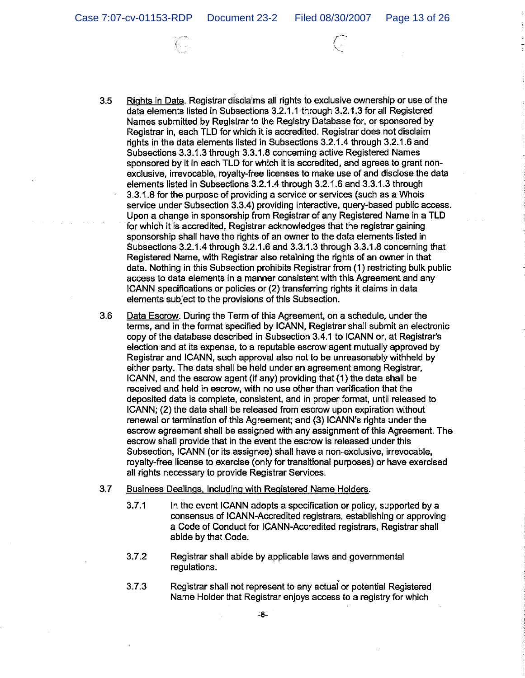Case 7:07-cv-01153-RDP Document 23-2 Filed 08/30/2007 Page 13 of 26

- Rights in Data. Registrar disclaims all rights to exclusive ownership or use of the  $3.5$ data elements listed in Subsections 3.2.1.1 through 3.2.1.3 for all Registered Names submitted by Registrar to the Registry Database for, or sponsored by Registrar in, each TLD for which it is accredited. Registrar does not disclaim rights in the data elements listed in Subsections 3.2.1.4 through 3.2.1.6 and Subsections 3.3.1.3 through 3.3.1.8 concerning active Registered Names sponsored by it in each TLD for which it is accredited, and agrees to grant nonexclusive, irrevocable, royalty-free licenses to make use of and disclose the data elements listed in Subsections 3.2.1.4 through 3.2.1.6 and 3.3.1.3 through 3.3.1.8 for the purpose of providing a service or services (such as a Whois service under Subsection 3.3.4) providing interactive, query-based public access. Upon a change in sponsorship from Registrar of any Registered Name in a TLD for which it is accredited. Registrar acknowledges that the registrar gaining sponsorship shall have the rights of an owner to the data elements listed in Subsections 3.2.1.4 through 3.2.1.6 and 3.3.1.3 through 3.3.1.8 concerning that Registered Name, with Registrar also retaining the rights of an owner in that data. Nothing in this Subsection prohibits Registrar from (1) restricting bulk public access to data elements in a manner consistent with this Agreement and any ICANN specifications or policies or (2) transferring rights it claims in data elements subject to the provisions of this Subsection.
- $3.6$ Data Escrow. During the Term of this Agreement, on a schedule, under the terms, and in the format specified by ICANN, Registrar shall submit an electronic copy of the database described in Subsection 3.4.1 to ICANN or, at Registrar's election and at its expense, to a reputable escrow agent mutually approved by Registrar and ICANN, such approval also not to be unreasonably withheld by either party. The data shall be held under an agreement among Registrar, ICANN, and the escrow agent (if any) providing that (1) the data shall be received and held in escrow, with no use other than verification that the deposited data is complete, consistent, and in proper format, until released to ICANN; (2) the data shall be released from escrow upon expiration without renewal or termination of this Agreement; and (3) ICANN's rights under the escrow agreement shall be assigned with any assignment of this Agreement. The escrow shall provide that in the event the escrow is released under this Subsection, ICANN (or its assignee) shall have a non-exclusive, irrevocable, royalty-free license to exercise (only for transitional purposes) or have exercised all rights necessary to provide Registrar Services.
- $3.7$ Business Dealings, Including with Registered Name Holders.
	- $3.7.1$ In the event ICANN adopts a specification or policy, supported by a consensus of ICANN-Accredited registrars, establishing or approving a Code of Conduct for ICANN-Accredited registrars. Registrar shall abide by that Code.
	- $3.7.2$ Registrar shall abide by applicable laws and governmental regulations.
	- $3.7.3$ Registrar shall not represent to any actual or potential Registered Name Holder that Registrar enjoys access to a registry for which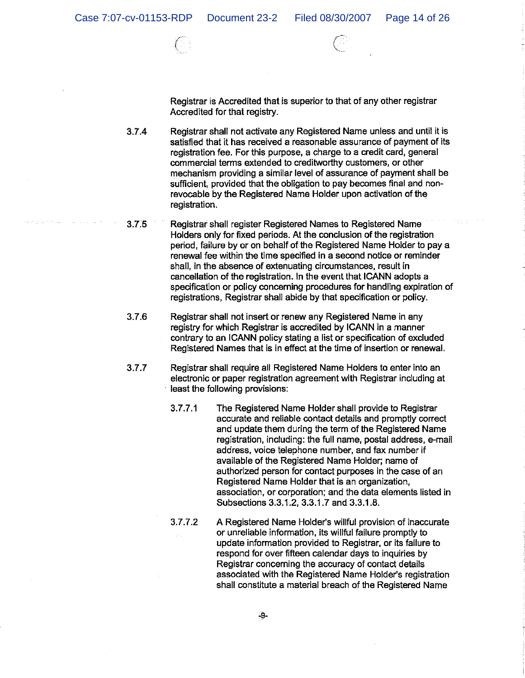Registrar is Accredited that is superior to that of any other registrar Accredited for that registry.

3.7.4 Registrar shall not activate any Registered Name unless and until it is satisfied that it has received a reasonable assurance of payment of its registration fee. For this purpose, a charge to a credit card, general commercial terms extended to creditworthy customers, or other mechanism providing a similar level of assurance of payment shall be sufficient, provided that the obligation to pay becomes final and nonrevocable by the Registered Name Holder upon activation of the registration.

- Registrar shall register Registered Names to Registered Name  $3.75$ Holders only for fixed periods. At the conclusion of the registration period, failure by or on behalf of the Registered Name Holder to pay a renewal fee within the time specified in a second notice or reminder shall, in the absence of extenuating circumstances, result in cancellation of the registration. In the event that ICANN adopts a specification or policy concerning procedures for handling expiration of registrations, Registrar shall abide by that specification or policy.
- $3.7.6$ Registrar shall not insert or renew any Registered Name in any registry for which Registrar is accredited by ICANN in a manner contrary to an ICANN policy stating a list or specification of excluded Registered Names that is in effect at the time of insertion or renewal.
- $3.7.7$ Registrar shall require all Registered Name Holders to enter into an electronic or paper registration agreement with Registrar including at least the following provisions:
	- The Registered Name Holder shall provide to Registrar  $3.7.7.1$ accurate and reliable contact details and promptly correct and update them during the term of the Registered Name registration, including: the full name, postal address, e-mail address, voice telephone number, and fax number if available of the Registered Name Holder; name of authorized person for contact purposes in the case of an Registered Name Holder that is an organization. association, or corporation; and the data elements listed in Subsections 3.3.1.2, 3.3.1.7 and 3.3.1.8.
	- $3.7.7.2$ A Registered Name Holder's willful provision of inaccurate or unreliable information, its willful failure promptly to update information provided to Registrar, or its failure to respond for over fifteen calendar days to inquiries by Registrar concerning the accuracy of contact details associated with the Registered Name Holder's registration shall constitute a material breach of the Registered Name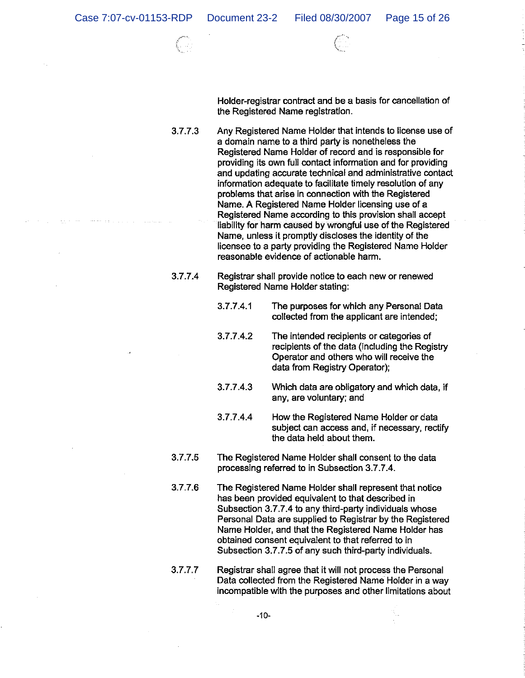Holder-registrar contract and be a basis for cancellation of the Registered Name registration.

3.7.7.3 Any Registered Name Holder that intends to license use of a domain name to a third party is nonetheless the Registered Name Holder of record and is responsible for providing its own full contact information and for providing and updating accurate technical and administrative contact information adequate to facilitate timely resolution of any problems that arise in connection with the Registered Name. A Registered Name Holder licensing use of a Registered Name according to this provision shall accept liability for harm caused by wrongful use of the Registered Name, unless it promptly discloses the identity of the licensee to a party providing the Registered Name Holder reasonable evidence of actionable harm.

- 3774 Registrar shall provide notice to each new or renewed Registered Name Holder stating:
	- 3.7.7.4.1 The purposes for which any Personal Data collected from the applicant are intended;
	- 37742 The intended recipients or categories of recipients of the data (including the Registry Operator and others who will receive the data from Registry Operator);
	- $3.7.7.4.3$ Which data are obligatory and which data, if any, are voluntary; and
	- 3.7.7.4.4 How the Registered Name Holder or data subject can access and, if necessary, rectify the data held about them.
- 3775 The Registered Name Holder shall consent to the data processing referred to in Subsection 3.7.7.4.
- 3776 The Registered Name Holder shall represent that notice has been provided equivalent to that described in Subsection 3.7.7.4 to any third-party individuals whose Personal Data are supplied to Registrar by the Registered Name Holder, and that the Registered Name Holder has obtained consent equivalent to that referred to in Subsection 3.7.7.5 of any such third-party individuals.
- 3.7.77 Registrar shall agree that it will not process the Personal Data collected from the Registered Name Holder in a way incompatible with the purposes and other limitations about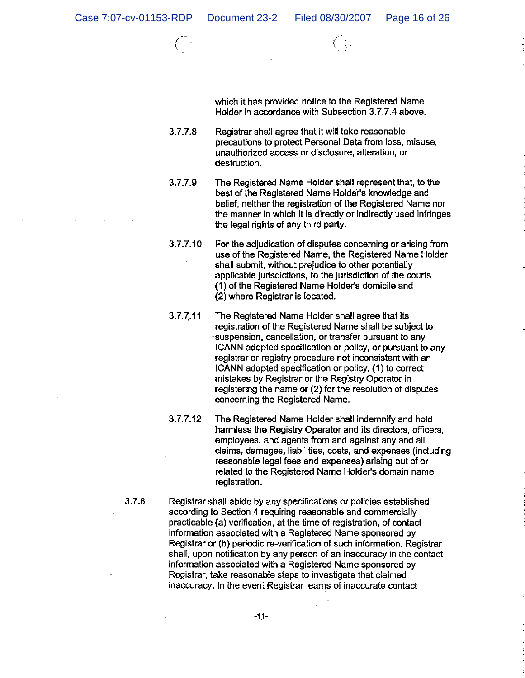which it has provided notice to the Registered Name Holder in accordance with Subsection 3.7.7.4 above.

- $3.7.7.8$ Registrar shall agree that it will take reasonable precautions to protect Personal Data from loss, misuse, unauthorized access or disclosure, alteration, or destruction.
- $3.7.7.9$ The Registered Name Holder shall represent that, to the best of the Registered Name Holder's knowledge and belief, neither the registration of the Registered Name nor the manner in which it is directly or indirectly used infringes the legal rights of any third party.
- 3.7.7.10 For the adjudication of disputes concerning or arising from use of the Registered Name, the Registered Name Holder shall submit, without prejudice to other potentially applicable jurisdictions, to the jurisdiction of the courts (1) of the Registered Name Holder's domicile and (2) where Registrar is located.
- $3.7.7.11$ The Registered Name Holder shall agree that its registration of the Registered Name shall be subject to suspension, cancellation, or transfer pursuant to any ICANN adopted specification or policy, or pursuant to any registrar or registry procedure not inconsistent with an ICANN adopted specification or policy, (1) to correct mistakes by Registrar or the Registry Operator in registering the name or (2) for the resolution of disputes concerning the Registered Name.
- $3.7.7.12$ The Registered Name Holder shall indemnify and hold harmless the Registry Operator and its directors, officers, employees, and agents from and against any and all claims, damages, liabilities, costs, and expenses (including reasonable legal fees and expenses) arising out of or related to the Registered Name Holder's domain name registration.
- $3.7.8$

Registrar shall abide by any specifications or policies established according to Section 4 requiring reasonable and commercially practicable (a) verification, at the time of registration, of contact information associated with a Registered Name sponsored by Registrar or (b) periodic re-verification of such information. Registrar shall, upon notification by any person of an inaccuracy in the contact information associated with a Registered Name sponsored by Registrar, take reasonable steps to investigate that claimed inaccuracy. In the event Registrar learns of inaccurate contact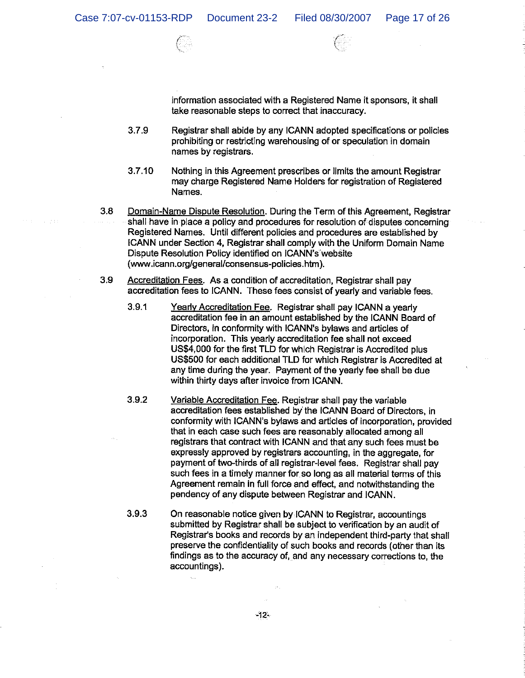information associated with a Registered Name it sponsors, it shall take reasonable steps to correct that inaccuracy.

- $3.7.9$ Registrar shall abide by any ICANN adopted specifications or policies prohibiting or restricting warehousing of or speculation in domain names by registrars.
- $3.7.10$ Nothing in this Agreement prescribes or limits the amount Registrar may charge Registered Name Holders for registration of Registered Names.
- $3.8$ Domain-Name Dispute Resolution. During the Term of this Agreement, Registrar shall have in place a policy and procedures for resolution of disputes concerning Registered Names. Until different policies and procedures are established by ICANN under Section 4, Registrar shall comply with the Uniform Domain Name Dispute Resolution Policy identified on ICANN's website (www.icann.org/general/consensus-policies.htm).
- 3.9 Accreditation Fees. As a condition of accreditation, Registrar shall pay accreditation fees to ICANN. These fees consist of yearly and variable fees.
	- $3.9.1$ Yearly Accreditation Fee. Registrar shall pay ICANN a yearly accreditation fee in an amount established by the ICANN Board of Directors, in conformity with ICANN's bylaws and articles of incorporation. This yearly accreditation fee shall not exceed US\$4,000 for the first TLD for which Registrar is Accredited plus US\$500 for each additional TLD for which Registrar is Accredited at any time during the year. Payment of the yearly fee shall be due within thirty days after invoice from ICANN.
	- $3.9.2$ Variable Accreditation Fee. Registrar shall pay the variable accreditation fees established by the ICANN Board of Directors, in conformity with ICANN's bylaws and articles of incorporation, provided that in each case such fees are reasonably allocated among all registrars that contract with ICANN and that any such fees must be expressly approved by registrars accounting, in the aggregate, for payment of two-thirds of all registrar-level fees. Registrar shall pay such fees in a timely manner for so long as all material terms of this Agreement remain in full force and effect, and notwithstanding the pendency of any dispute between Registrar and ICANN.
	- $3.9.3$ On reasonable notice given by ICANN to Registrar, accountings submitted by Registrar shall be subject to verification by an audit of Registrar's books and records by an independent third-party that shall preserve the confidentiality of such books and records (other than its findings as to the accuracy of, and any necessary corrections to, the accountings).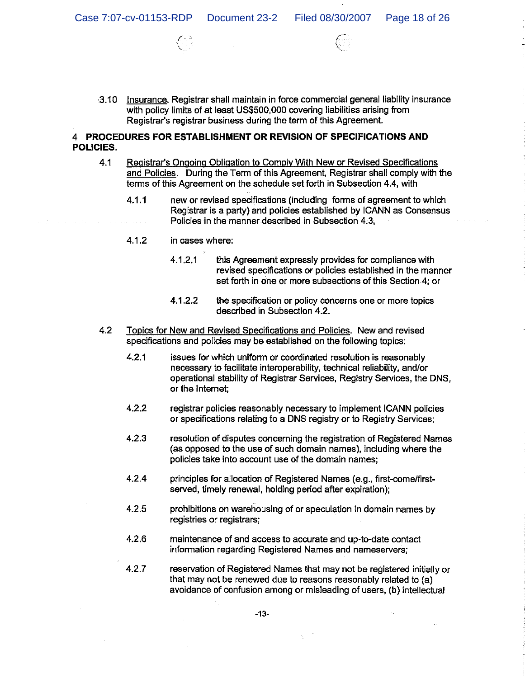3.10 Insurance. Registrar shall maintain in force commercial general liability insurance with policy limits of at least US\$500,000 covering liabilities arising from Registrar's registrar business during the term of this Agreement.

## 4 PROCEDURES FOR ESTABLISHMENT OR REVISION OF SPECIFICATIONS AND POLICIES.

- $4.1$ Registrar's Ongoing Obligation to Comply With New or Revised Specifications and Policies. During the Term of this Agreement, Registrar shall comply with the terms of this Agreement on the schedule set forth in Subsection 4.4, with
	- $4.1.1$ new or revised specifications (including forms of agreement to which Registrar is a party) and policies established by ICANN as Consensus Policies in the manner described in Subsection 4.3,
	- 4.1.2 in cases where:
		- $4.1.2.1$ this Agreement expressly provides for compliance with revised specifications or policies established in the manner set forth in one or more subsections of this Section 4; or
		- 4.1.2.2 the specification or policy concerns one or more topics described in Subsection 4.2.
- $4.2$ Topics for New and Revised Specifications and Policies. New and revised specifications and policies may be established on the following topics:
	- $4.2.1$ issues for which uniform or coordinated resolution is reasonably necessary to facilitate interoperability, technical reliability, and/or operational stability of Registrar Services, Registry Services, the DNS, or the Internet:
	- $4.2.2$ registrar policies reasonably necessary to implement ICANN policies or specifications relating to a DNS registry or to Registry Services:
	- $4.2.3$ resolution of disputes concerning the registration of Registered Names (as opposed to the use of such domain names), including where the policies take into account use of the domain names;
	- $4.2.4$ principles for allocation of Registered Names (e.g., first-come/firstserved, timely renewal, holding period after expiration);
	- $4.2.5$ prohibitions on warehousing of or speculation in domain names by registries or registrars;
	- $4.2.6$ maintenance of and access to accurate and up-to-date contact information regarding Registered Names and nameservers;
	- $4.2.7$ reservation of Registered Names that may not be registered initially or that may not be renewed due to reasons reasonably related to (a) avoidance of confusion among or misleading of users, (b) intellectual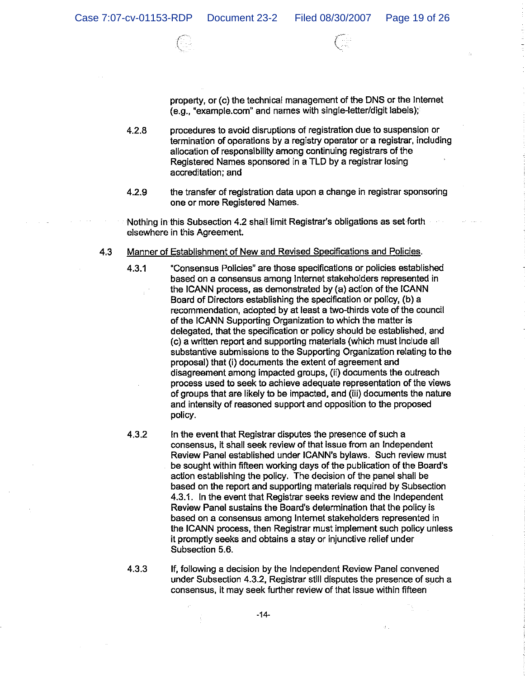property, or (c) the technical management of the DNS or the Internet (e.g., "example.com" and names with single-letter/digit labels);

- $4.2.8$ procedures to avoid disruptions of registration due to suspension or termination of operations by a registry operator or a registrar, including allocation of responsibility among continuing registrars of the Registered Names sponsored in a TLD by a registrar losing accreditation; and
- 4.2.9 the transfer of registration data upon a change in registrar sponsoring one or more Registered Names.
- Nothing in this Subsection 4.2 shall limit Registrar's obligations as set forth elsewhere in this Agreement.
- Manner of Establishment of New and Revised Specifications and Policies.  $4.3$ 
	- $4.3.1$ "Consensus Policies" are those specifications or policies established based on a consensus among Internet stakeholders represented in the ICANN process, as demonstrated by (a) action of the ICANN Board of Directors establishing the specification or policy, (b) a recommendation, adopted by at least a two-thirds vote of the council of the ICANN Supporting Organization to which the matter is delegated, that the specification or policy should be established, and (c) a written report and supporting materials (which must include all substantive submissions to the Supporting Organization relating to the proposal) that (i) documents the extent of agreement and disagreement among impacted groups, (ii) documents the outreach process used to seek to achieve adequate representation of the views of groups that are likely to be impacted, and (iii) documents the nature and intensity of reasoned support and opposition to the proposed policy.
	- 4.3.2 In the event that Registrar disputes the presence of such a consensus, it shall seek review of that issue from an Independent Review Panel established under ICANN's bylaws. Such review must be sought within fifteen working days of the publication of the Board's action establishing the policy. The decision of the panel shall be based on the report and supporting materials required by Subsection 4.3.1. In the event that Registrar seeks review and the Independent Review Panel sustains the Board's determination that the policy is based on a consensus among Internet stakeholders represented in the ICANN process, then Registrar must implement such policy unless it promptly seeks and obtains a stay or injunctive relief under Subsection 5.6.
	- 4.3.3 If, following a decision by the Independent Review Panel convened under Subsection 4.3.2, Registrar still disputes the presence of such a consensus, it may seek further review of that issue within fifteen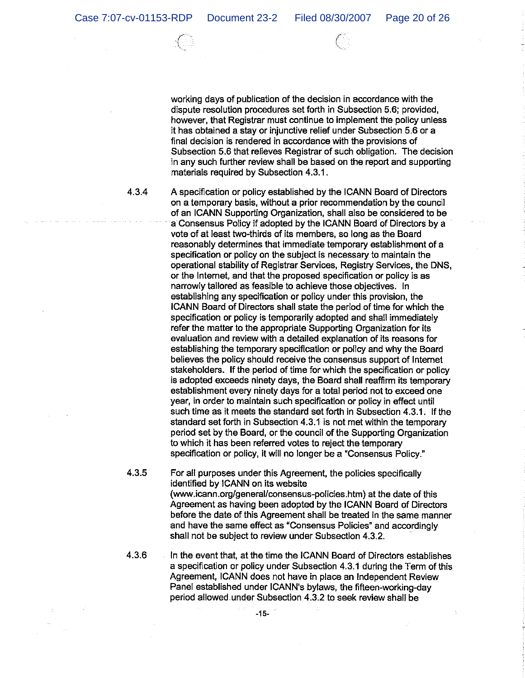working days of publication of the decision in accordance with the dispute resolution procedures set forth in Subsection 5.6; provided, however, that Registrar must continue to implement the policy unless it has obtained a stay or injunctive relief under Subsection 5.6 or a final decision is rendered in accordance with the provisions of Subsection 5.6 that relieves Registrar of such obligation. The decision in any such further review shall be based on the report and supporting materials required by Subsection 4.3.1.

4.3.4

A specification or policy established by the ICANN Board of Directors on a temporary basis, without a prior recommendation by the council of an ICANN Supporting Organization, shall also be considered to be a Consensus Policy if adopted by the ICANN Board of Directors by a vote of at least two-thirds of its members, so long as the Board reasonably determines that immediate temporary establishment of a specification or policy on the subject is necessary to maintain the operational stability of Registrar Services, Registry Services, the DNS, or the Internet, and that the proposed specification or policy is as narrowly tailored as feasible to achieve those objectives. In establishing any specification or policy under this provision, the ICANN Board of Directors shall state the period of time for which the specification or policy is temporarily adopted and shall immediately refer the matter to the appropriate Supporting Organization for its evaluation and review with a detailed explanation of its reasons for establishing the temporary specification or policy and why the Board believes the policy should receive the consensus support of Internet stakeholders. If the period of time for which the specification or policy is adopted exceeds ninety days, the Board shall reaffirm its temporary establishment every ninety days for a total period not to exceed one year, in order to maintain such specification or policy in effect until such time as it meets the standard set forth in Subsection 4.3.1. If the standard set forth in Subsection 4.3.1 is not met within the temporary period set by the Board, or the council of the Supporting Organization to which it has been referred votes to reject the temporary specification or policy, it will no longer be a "Consensus Policy."

4.3.5 For all purposes under this Agreement, the policies specifically identified by ICANN on its website (www.icann.org/general/consensus-policies.htm) at the date of this Agreement as having been adopted by the ICANN Board of Directors before the date of this Agreement shall be treated in the same manner and have the same effect as "Consensus Policies" and accordingly shall not be subject to review under Subsection 4.3.2.

4.3.6 In the event that, at the time the ICANN Board of Directors establishes a specification or policy under Subsection 4.3.1 during the Term of this Agreement, ICANN does not have in place an Independent Review Panel established under ICANN's bylaws, the fifteen-working-day period allowed under Subsection 4.3.2 to seek review shall be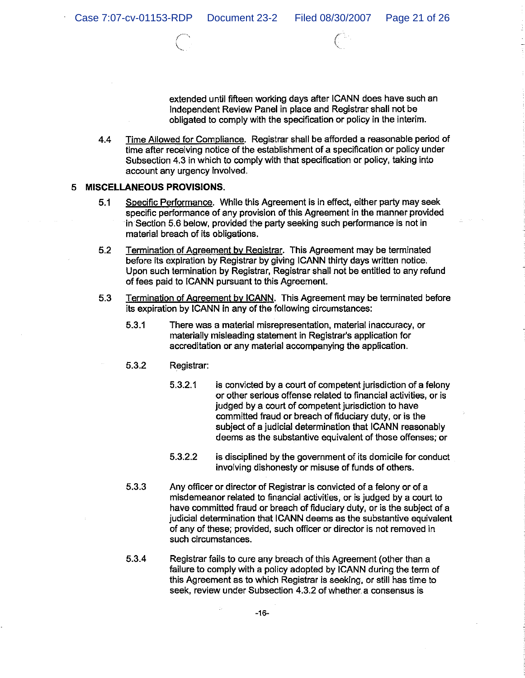extended until fifteen working days after ICANN does have such an Independent Review Panel in place and Registrar shall not be obligated to comply with the specification or policy in the interim.

 $4.4$ Time Allowed for Compliance. Registrar shall be afforded a reasonable period of time after receiving notice of the establishment of a specification or policy under Subsection 4.3 in which to comply with that specification or policy, taking into account any urgency involved.

## 5 MISCELLANEOUS PROVISIONS.

- Specific Performance. While this Agreement is in effect, either party may seek  $5.1$ specific performance of any provision of this Agreement in the manner provided in Section 5.6 below, provided the party seeking such performance is not in material breach of its obligations.
- $5.2$ Termination of Agreement by Registrar. This Agreement may be terminated before its expiration by Registrar by giving ICANN thirty days written notice. Upon such termination by Registrar, Registrar shall not be entitled to any refund of fees paid to ICANN pursuant to this Agreement.
- 5.3 Termination of Agreement by ICANN. This Agreement may be terminated before its expiration by ICANN in any of the following circumstances:
	- $5.3.1$ There was a material misrepresentation, material inaccuracy, or materially misleading statement in Registrar's application for accreditation or any material accompanying the application.
	- 5.3.2 Registrar:
		- $5.3.2.1$ is convicted by a court of competent jurisdiction of a felony or other serious offense related to financial activities, or is judged by a court of competent jurisdiction to have committed fraud or breach of fiduciary duty, or is the subject of a judicial determination that ICANN reasonably deems as the substantive equivalent of those offenses; or
		- 5.3.2.2 is disciplined by the government of its domicile for conduct involving dishonesty or misuse of funds of others.
	- 5.3.3 Any officer or director of Registrar is convicted of a felony or of a misdemeanor related to financial activities, or is judged by a court to have committed fraud or breach of fiduciary duty, or is the subject of a judicial determination that ICANN deems as the substantive equivalent of any of these; provided, such officer or director is not removed in such circumstances.
	- 5.3.4 Registrar fails to cure any breach of this Agreement (other than a failure to comply with a policy adopted by ICANN during the term of this Agreement as to which Registrar is seeking, or still has time to seek, review under Subsection 4.3.2 of whether a consensus is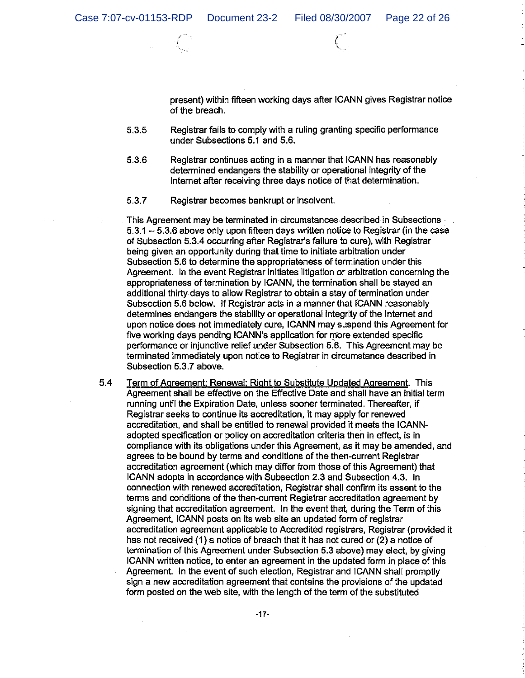present) within fifteen working days after ICANN gives Registrar notice of the breach.

- Registrar fails to comply with a ruling granting specific performance 5.3.5 under Subsections 5.1 and 5.6.
- 5.3.6 Registrar continues acting in a manner that ICANN has reasonably determined endangers the stability or operational integrity of the Internet after receiving three days notice of that determination.
- 5.3.7 Registrar becomes bankrupt or insolvent.

This Agreement may be terminated in circumstances described in Subsections 5.3.1 - 5.3.6 above only upon fifteen days written notice to Registrar (in the case of Subsection 5.3.4 occurring after Registrar's failure to cure), with Registrar being given an opportunity during that time to initiate arbitration under Subsection 5.6 to determine the appropriateness of termination under this Agreement. In the event Registrar initiates litigation or arbitration concerning the appropriateness of termination by ICANN, the termination shall be stayed an additional thirty days to allow Registrar to obtain a stay of termination under Subsection 5.6 below. If Registrar acts in a manner that ICANN reasonably determines endangers the stability or operational integrity of the Internet and upon notice does not immediately cure, ICANN may suspend this Agreement for five working days pending ICANN's application for more extended specific performance or injunctive relief under Subsection 5.6. This Agreement may be terminated immediately upon notice to Registrar in circumstance described in Subsection 5.3.7 above.

5.4 Term of Agreement; Renewal; Right to Substitute Updated Agreement. This Agreement shall be effective on the Effective Date and shall have an initial term running until the Expiration Date, unless sooner terminated. Thereafter, if Registrar seeks to continue its accreditation, it may apply for renewed accreditation, and shall be entitled to renewal provided it meets the ICANNadopted specification or policy on accreditation criteria then in effect, is in compliance with its obligations under this Agreement, as it may be amended, and agrees to be bound by terms and conditions of the then-current Registrar accreditation agreement (which may differ from those of this Agreement) that ICANN adopts in accordance with Subsection 2.3 and Subsection 4.3. In connection with renewed accreditation, Registrar shall confirm its assent to the terms and conditions of the then-current Registrar accreditation agreement by signing that accreditation agreement. In the event that, during the Term of this Agreement, ICANN posts on its web site an updated form of registrar accreditation agreement applicable to Accredited registrars, Registrar (provided it has not received (1) a notice of breach that it has not cured or (2) a notice of termination of this Agreement under Subsection 5.3 above) may elect, by giving ICANN written notice, to enter an agreement in the updated form in place of this Agreement. In the event of such election, Registrar and ICANN shall promptly sign a new accreditation agreement that contains the provisions of the updated form posted on the web site, with the length of the term of the substituted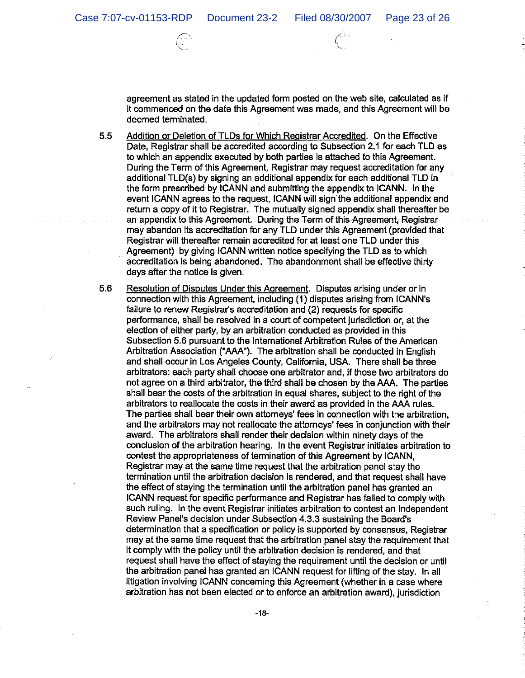agreement as stated in the updated form posted on the web site, calculated as if it commenced on the date this Agreement was made, and this Agreement will be deemed terminated.

 $5.5$ Addition or Deletion of TLDs for Which Registrar Accredited. On the Effective Date, Registrar shall be accredited according to Subsection 2.1 for each TLD as to which an appendix executed by both parties is attached to this Agreement. During the Term of this Agreement, Registrar may request accreditation for any additional TLD(s) by signing an additional appendix for each additional TLD in the form prescribed by ICANN and submitting the appendix to ICANN. In the event ICANN agrees to the request, ICANN will sign the additional appendix and return a copy of it to Registrar. The mutually signed appendix shall thereafter be an appendix to this Agreement. During the Term of this Agreement. Registrar may abandon its accreditation for any TLD under this Agreement (provided that Registrar will thereafter remain accredited for at least one TLD under this Agreement) by giving ICANN written notice specifying the TLD as to which accreditation is being abandoned. The abandonment shall be effective thirty days after the notice is given.

 $5.6$ Resolution of Disputes Under this Agreement. Disputes arising under or in connection with this Agreement, including (1) disputes arising from ICANN's failure to renew Registrar's accreditation and (2) requests for specific performance, shall be resolved in a court of competent jurisdiction or, at the election of either party, by an arbitration conducted as provided in this Subsection 5.6 pursuant to the International Arbitration Rules of the American Arbitration Association ("AAA"). The arbitration shall be conducted in English and shall occur in Los Angeles County, California, USA. There shall be three arbitrators: each party shall choose one arbitrator and, if those two arbitrators do not agree on a third arbitrator, the third shall be chosen by the AAA. The parties shall bear the costs of the arbitration in equal shares, subject to the right of the arbitrators to reallocate the costs in their award as provided in the AAA rules. The parties shall bear their own attorneys' fees in connection with the arbitration. and the arbitrators may not reallocate the attorneys' fees in conjunction with their award. The arbitrators shall render their decision within ninety days of the conclusion of the arbitration hearing. In the event Registrar initiates arbitration to contest the appropriateness of termination of this Agreement by ICANN, Registrar may at the same time request that the arbitration panel stay the termination until the arbitration decision is rendered, and that request shall have the effect of staying the termination until the arbitration panel has granted an ICANN request for specific performance and Registrar has failed to comply with such ruling. In the event Registrar initiates arbitration to contest an Independent Review Panel's decision under Subsection 4.3.3 sustaining the Board's determination that a specification or policy is supported by consensus, Registrar may at the same time request that the arbitration panel stay the requirement that it comply with the policy until the arbitration decision is rendered, and that request shall have the effect of staying the requirement until the decision or until the arbitration panel has granted an ICANN request for lifting of the stay. In all litigation involving ICANN concerning this Agreement (whether in a case where arbitration has not been elected or to enforce an arbitration award), jurisdiction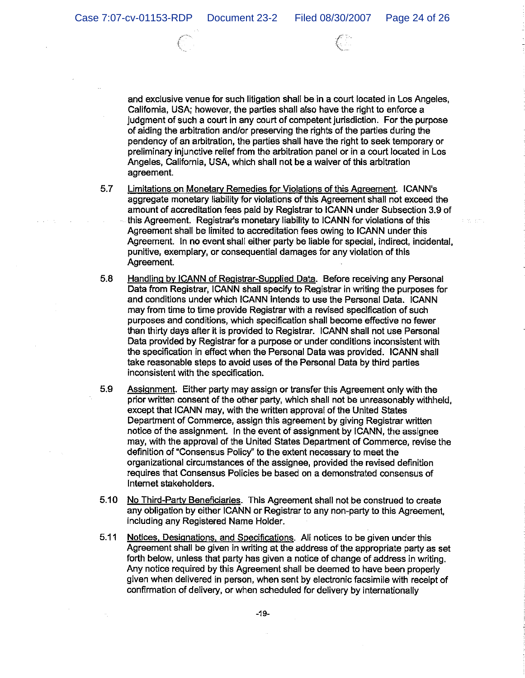and exclusive venue for such litigation shall be in a court located in Los Angeles. California, USA; however, the parties shall also have the right to enforce a judgment of such a court in any court of competent jurisdiction. For the purpose of aiding the arbitration and/or preserving the rights of the parties during the pendency of an arbitration, the parties shall have the right to seek temporary or preliminary injunctive relief from the arbitration panel or in a court located in Los Angeles, California, USA, which shall not be a waiver of this arbitration agreement.

- 5.7 Limitations on Monetary Remedies for Violations of this Agreement. ICANN's aggregate monetary liability for violations of this Agreement shall not exceed the amount of accreditation fees paid by Registrar to ICANN under Subsection 3.9 of this Agreement. Registrar's monetary liability to ICANN for violations of this Agreement shall be limited to accreditation fees owing to ICANN under this Agreement. In no event shall either party be liable for special, indirect, incidental, punitive, exemplary, or consequential damages for any violation of this Agreement.
- 5.8 Handling by ICANN of Registrar-Supplied Data. Before receiving any Personal Data from Registrar, ICANN shall specify to Registrar in writing the purposes for and conditions under which ICANN intends to use the Personal Data. ICANN may from time to time provide Registrar with a revised specification of such purposes and conditions, which specification shall become effective no fewer than thirty days after it is provided to Registrar. ICANN shall not use Personal Data provided by Registrar for a purpose or under conditions inconsistent with the specification in effect when the Personal Data was provided. ICANN shall take reasonable steps to avoid uses of the Personal Data by third parties inconsistent with the specification.
- 5.9 Assignment. Either party may assign or transfer this Agreement only with the prior written consent of the other party, which shall not be unreasonably withheld. except that ICANN may, with the written approval of the United States Department of Commerce, assign this agreement by giving Registrar written notice of the assignment. In the event of assignment by ICANN, the assignee may, with the approval of the United States Department of Commerce, revise the definition of "Consensus Policy" to the extent necessary to meet the organizational circumstances of the assignee, provided the revised definition requires that Consensus Policies be based on a demonstrated consensus of Internet stakeholders.
- 5.10 No Third-Party Beneficiaries. This Agreement shall not be construed to create any obligation by either ICANN or Registrar to any non-party to this Agreement, including any Registered Name Holder.
- $5.11$ Notices, Designations, and Specifications. All notices to be given under this Agreement shall be given in writing at the address of the appropriate party as set forth below, unless that party has given a notice of change of address in writing. Any notice required by this Agreement shall be deemed to have been properly given when delivered in person, when sent by electronic facsimile with receipt of confirmation of delivery, or when scheduled for delivery by internationally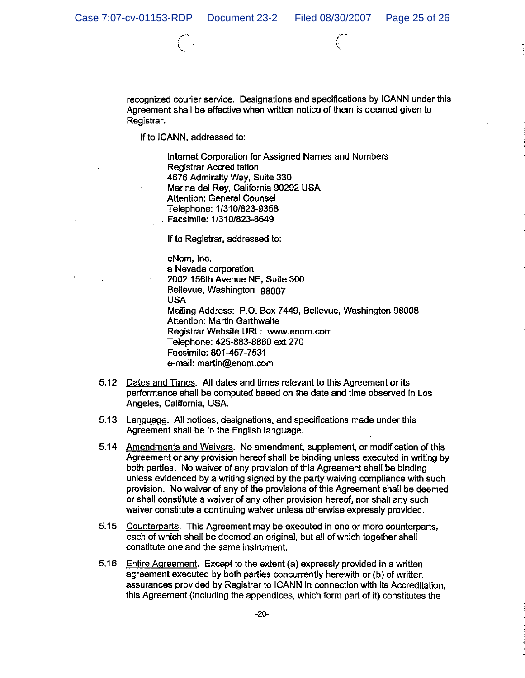recognized courier service. Designations and specifications by ICANN under this Agreement shall be effective when written notice of them is deemed given to Registrar.

If to ICANN, addressed to:

Internet Corporation for Assigned Names and Numbers **Registrar Accreditation** 4676 Admiralty Way, Suite 330 Marina del Rev. California 90292 USA Attention: General Counsel Telephone: 1/310/823-9358 Facsimile: 1/310/823-8649

If to Registrar, addressed to:

eNom, Inc. a Nevada corporation 2002 156th Avenue NE, Suite 300 Bellevue, Washington 98007 **USA** Mailing Address: P.O. Box 7449, Bellevue, Washington 98008 Attention: Martin Garthwaite Registrar Website URL: www.enom.com Telephone: 425-883-8860 ext 270 Facsimile: 801-457-7531 e-mail: martin@enom.com

- 5.12 Dates and Times. All dates and times relevant to this Agreement or its performance shall be computed based on the date and time observed in Los Angeles, California, USA.
- 5.13 Language. All notices, designations, and specifications made under this Agreement shall be in the English language.
- 5.14 Amendments and Waivers. No amendment, supplement, or modification of this Agreement or any provision hereof shall be binding unless executed in writing by both parties. No waiver of any provision of this Agreement shall be binding unless evidenced by a writing signed by the party waiving compliance with such provision. No waiver of any of the provisions of this Agreement shall be deemed or shall constitute a waiver of any other provision hereof, nor shall any such waiver constitute a continuing waiver unless otherwise expressly provided.
- 5.15 Counterparts. This Agreement may be executed in one or more counterparts. each of which shall be deemed an original, but all of which together shall constitute one and the same instrument.
- 5.16 Entire Agreement. Except to the extent (a) expressly provided in a written agreement executed by both parties concurrently herewith or (b) of written assurances provided by Registrar to ICANN in connection with its Accreditation, this Agreement (including the appendices, which form part of it) constitutes the